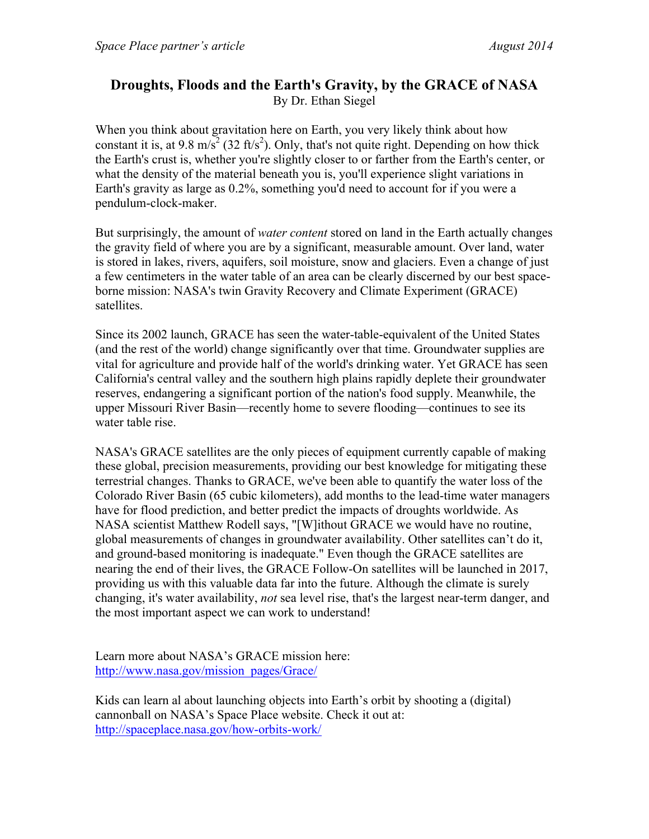## **Droughts, Floods and the Earth's Gravity, by the GRACE of NASA** By Dr. Ethan Siegel

When you think about gravitation here on Earth, you very likely think about how constant it is, at 9.8 m/s<sup>2</sup> (32 ft/s<sup>2</sup>). Only, that's not quite right. Depending on how thick the Earth's crust is, whether you're slightly closer to or farther from the Earth's center, or what the density of the material beneath you is, you'll experience slight variations in Earth's gravity as large as 0.2%, something you'd need to account for if you were a pendulum-clock-maker.

But surprisingly, the amount of *water content* stored on land in the Earth actually changes the gravity field of where you are by a significant, measurable amount. Over land, water is stored in lakes, rivers, aquifers, soil moisture, snow and glaciers. Even a change of just a few centimeters in the water table of an area can be clearly discerned by our best spaceborne mission: NASA's twin Gravity Recovery and Climate Experiment (GRACE) satellites.

Since its 2002 launch, GRACE has seen the water-table-equivalent of the United States (and the rest of the world) change significantly over that time. Groundwater supplies are vital for agriculture and provide half of the world's drinking water. Yet GRACE has seen California's central valley and the southern high plains rapidly deplete their groundwater reserves, endangering a significant portion of the nation's food supply. Meanwhile, the upper Missouri River Basin—recently home to severe flooding—continues to see its water table rise

NASA's GRACE satellites are the only pieces of equipment currently capable of making these global, precision measurements, providing our best knowledge for mitigating these terrestrial changes. Thanks to GRACE, we've been able to quantify the water loss of the Colorado River Basin (65 cubic kilometers), add months to the lead-time water managers have for flood prediction, and better predict the impacts of droughts worldwide. As NASA scientist Matthew Rodell says, "[W]ithout GRACE we would have no routine, global measurements of changes in groundwater availability. Other satellites can't do it, and ground-based monitoring is inadequate." Even though the GRACE satellites are nearing the end of their lives, the GRACE Follow-On satellites will be launched in 2017, providing us with this valuable data far into the future. Although the climate is surely changing, it's water availability, *not* sea level rise, that's the largest near-term danger, and the most important aspect we can work to understand!

Learn more about NASA's GRACE mission here: http://www.nasa.gov/mission\_pages/Grace/

Kids can learn al about launching objects into Earth's orbit by shooting a (digital) cannonball on NASA's Space Place website. Check it out at: http://spaceplace.nasa.gov/how-orbits-work/